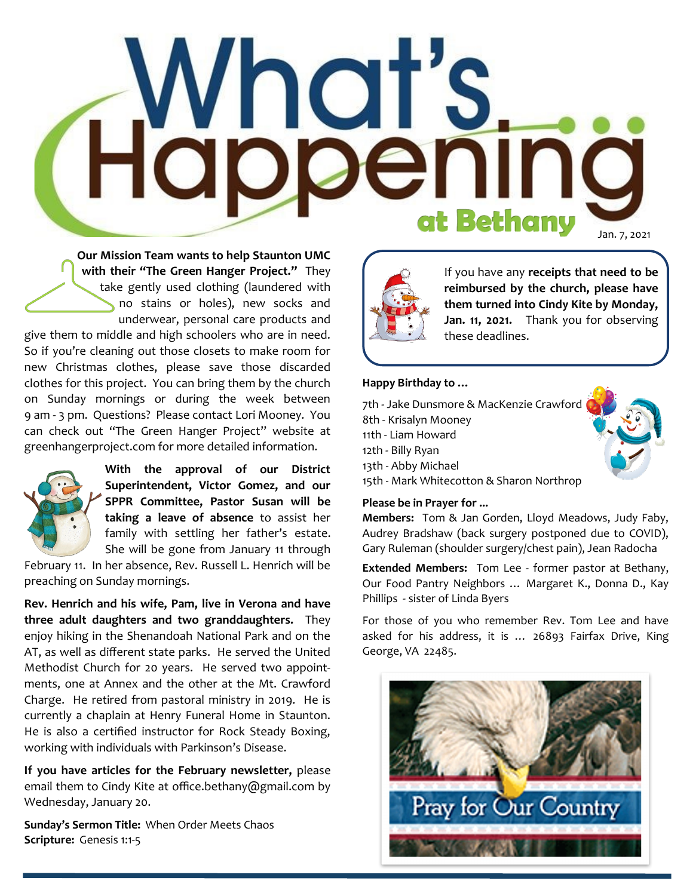# **Happeni** Ing at Bethany Jan. 7, 2021

**Our Mission Team wants to help Staunton UMC with their "The Green Hanger Project."** They take gently used clothing (laundered with no stains or holes), new socks and underwear, personal care products and give them to middle and high schoolers who are in need. So if you're cleaning out those closets to make room for new Christmas clothes, please save those discarded clothes for this project. You can bring them by the church on Sunday mornings or during the week between 9 am - 3 pm. Questions? Please contact Lori Mooney. You can check out "The Green Hanger Project" website at greenhangerproject.com for more detailed information.



**With the approval of our District Superintendent, Victor Gomez, and our SPPR Committee, Pastor Susan will be taking a leave of absence** to assist her family with settling her father's estate. She will be gone from January 11 through

February 11. In her absence, Rev. Russell L. Henrich will be preaching on Sunday mornings.

**Rev. Henrich and his wife, Pam, live in Verona and have three adult daughters and two granddaughters.** They enjoy hiking in the Shenandoah National Park and on the AT, as well as different state parks. He served the United Methodist Church for 20 years. He served two appointments, one at Annex and the other at the Mt. Crawford Charge. He retired from pastoral ministry in 2019. He is currently a chaplain at Henry Funeral Home in Staunton. He is also a certified instructor for Rock Steady Boxing, working with individuals with Parkinson's Disease.

**If you have articles for the February newsletter,** please email them to Cindy Kite at office.bethany@gmail.com by Wednesday, January 20.

**Sunday's Sermon Title:** When Order Meets Chaos **Scripture:** Genesis 1:1-5



If you have any **receipts that need to be reimbursed by the church, please have them turned into Cindy Kite by Monday, Jan. 11, 2021.** Thank you for observing these deadlines.

### **Happy Birthday to …**

7th - Jake Dunsmore & MacKenzie Crawford 8th - Krisalyn Mooney 11th - Liam Howard 12th - Billy Ryan 13th - Abby Michael 15th - Mark Whitecotton & Sharon Northrop

#### **Please be in Prayer for ...**

**Members:** Tom & Jan Gorden, Lloyd Meadows, Judy Faby, Audrey Bradshaw (back surgery postponed due to COVID), Gary Ruleman (shoulder surgery/chest pain), Jean Radocha

**Extended Members:** Tom Lee - former pastor at Bethany, Our Food Pantry Neighbors … Margaret K., Donna D., Kay Phillips - sister of Linda Byers

For those of you who remember Rev. Tom Lee and have asked for his address, it is … 26893 Fairfax Drive, King George, VA 22485.